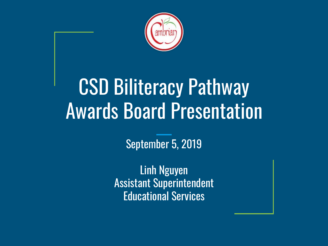

# CSD Biliteracy Pathway Awards Board Presentation

September 5, 2019

Linh Nguyen Assistant Superintendent Educational Services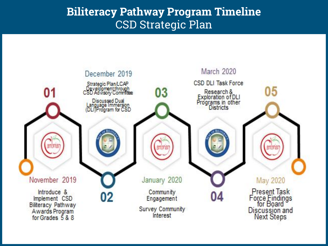#### **Biliteracy Pathway Program Timeline** CSD Strategic Plan

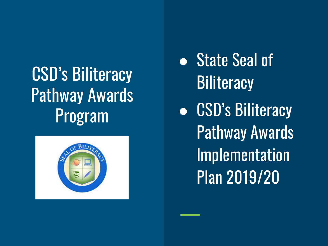## CSD's Biliteracy Pathway Awards Program



- State Seal of **Biliteracy**
- CSD's Biliteracy Pathway Awards Implementation Plan 2019/20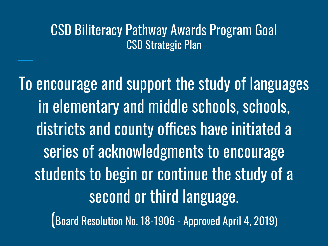#### CSD Biliteracy Pathway Awards Program Goal CSD Strategic Plan

To encourage and support the study of languages in elementary and middle schools, schools, districts and county offices have initiated a series of acknowledgments to encourage students to begin or continue the study of a second or third language. (Board Resolution No. 18-1906 - Approved April 4, 2019)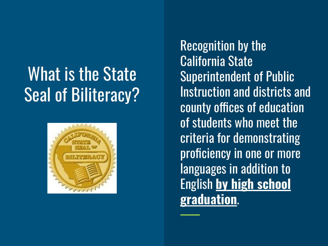## What is the State Seal of Biliteracy?



Recognition by the California State Superintendent of Public Instruction and districts and county offices of education of students who meet the criteria for demonstrating proficiency in one or more languages in addition to English **by high school graduation**.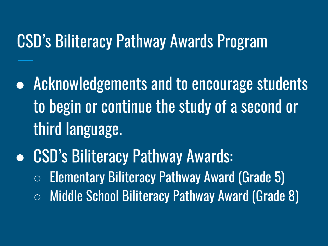### CSD's Biliteracy Pathway Awards Program

- Acknowledgements and to encourage students to begin or continue the study of a second or third language.
- CSD's Biliteracy Pathway Awards:  $\circ$  Elementary Biliteracy Pathway Award (Grade 5) ○ Middle School Biliteracy Pathway Award (Grade 8)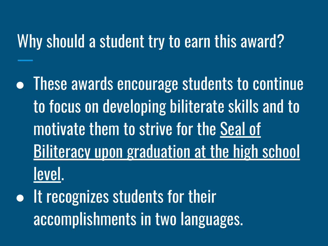### Why should a student try to earn this award?

- These awards encourage students to continue to focus on developing biliterate skills and to motivate them to strive for the Seal of **Biliteracy upon graduation at the high school** level.
- It recognizes students for their accomplishments in two languages.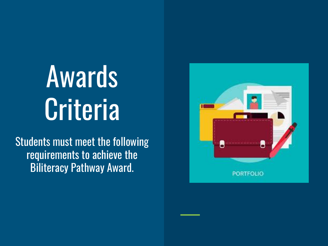# Awards **Criteria**

Students must meet the following requirements to achieve the Biliteracy Pathway Award.

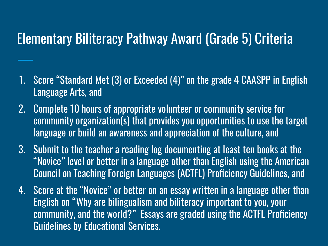#### Elementary Biliteracy Pathway Award (Grade 5) Criteria

- 1. Score "Standard Met (3) or Exceeded (4)" on the grade 4 CAASPP in English Language Arts, and
- 2. Complete 10 hours of appropriate volunteer or community service for community organization(s) that provides you opportunities to use the target language or build an awareness and appreciation of the culture, and
- 3. Submit to the teacher a reading log documenting at least ten books at the "Novice" level or better in a language other than English using the American Council on Teaching Foreign Languages (ACTFL) Proficiency Guidelines, and
- 4. Score at the "Novice" or better on an essay written in a language other than English on "Why are bilingualism and biliteracy important to you, your community, and the world?" Essays are graded using the ACTFL Proficiency Guidelines by Educational Services.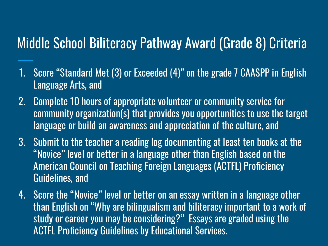### Middle School Biliteracy Pathway Award (Grade 8) Criteria

- 1. Score "Standard Met (3) or Exceeded (4)" on the grade 7 CAASPP in English Language Arts, and
- 2. Complete 10 hours of appropriate volunteer or community service for community organization(s) that provides you opportunities to use the target language or build an awareness and appreciation of the culture, and
- 3. Submit to the teacher a reading log documenting at least ten books at the "Novice" level or better in a language other than English based on the American Council on Teaching Foreign Languages (ACTFL) Proficiency Guidelines, and
- 4. Score the "Novice" level or better on an essay written in a language other than English on "Why are bilingualism and biliteracy important to a work of study or career you may be considering?" Essays are graded using the ACTFL Proficiency Guidelines by Educational Services.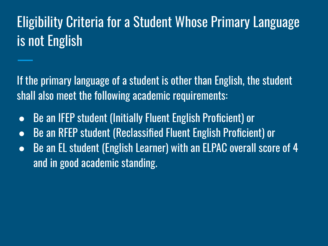### Eligibility Criteria for a Student Whose Primary Language is not English

If the primary language of a student is other than English, the student shall also meet the following academic requirements:

- Be an IFEP student (Initially Fluent English Proficient) or
- Be an RFEP student (Reclassified Fluent English Proficient) or
- Be an EL student (English Learner) with an ELPAC overall score of 4 and in good academic standing.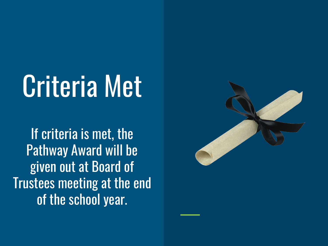# Criteria Met

If criteria is met, the Pathway Award will be given out at Board of Trustees meeting at the end of the school year.

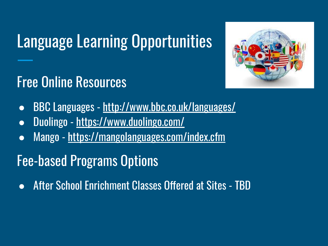## Language Learning Opportunities



### Free Online Resources

- BBC Languages <http://www.bbc.co.uk/languages/>
- Duolingo -<https://www.duolingo.com/>
- Mango -<https://mangolanguages.com/index.cfm>

### Fee-based Programs Options

● After School Enrichment Classes Offered at Sites - TBD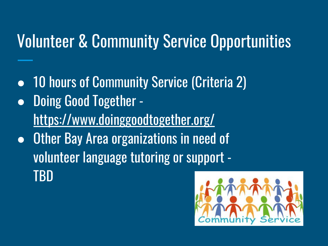### Volunteer & Community Service Opportunities

● 10 hours of Community Service (Criteria 2) ● Doing Good Together <https://www.doinggoodtogether.org/> • Other Bay Area organizations in need of volunteer language tutoring or support - TBD

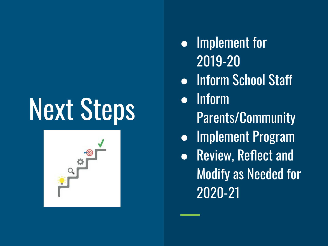# Next Steps



- Implement for 2019-20
- Inform School Staff
- Inform
	- Parents/Community
- Implement Program
- Review, Reflect and Modify as Needed for 2020-21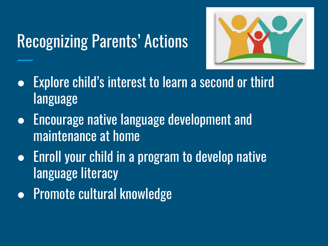### Recognizing Parents' Actions



- Explore child's interest to learn a second or third language
- Encourage native language development and maintenance at home
- Enroll your child in a program to develop native language literacy
- Promote cultural knowledge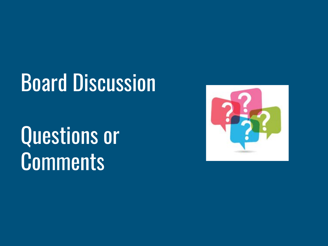# Board Discussion

# Questions or **Comments**